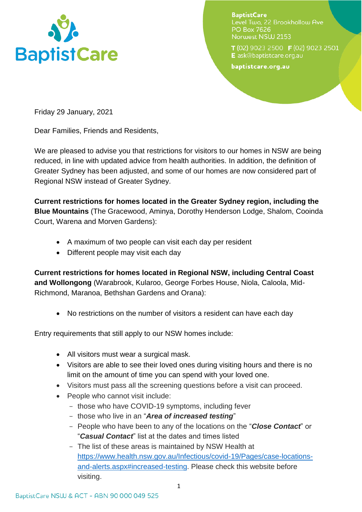

**BaptistCare** Level Two, 22 Brookhollow Ave **PO Box 7626** Norwest NSW 2153

T(02) 9023 2500 F(02) 9023 2501 E ask@baptistcare.org.au

baptistcare.org.au

Friday 29 January, 2021

Dear Families, Friends and Residents,

We are pleased to advise you that restrictions for visitors to our homes in NSW are being reduced, in line with updated advice from health authorities. In addition, the definition of Greater Sydney has been adjusted, and some of our homes are now considered part of Regional NSW instead of Greater Sydney.

**Current restrictions for homes located in the Greater Sydney region, including the Blue Mountains** (The Gracewood, Aminya, Dorothy Henderson Lodge, Shalom, Cooinda Court, Warena and Morven Gardens):

- A maximum of two people can visit each day per resident
- Different people may visit each day

**Current restrictions for homes located in Regional NSW, including Central Coast and Wollongong** (Warabrook, Kularoo, George Forbes House, Niola, Caloola, Mid-Richmond, Maranoa, Bethshan Gardens and Orana):

No restrictions on the number of visitors a resident can have each day

Entry requirements that still apply to our NSW homes include:

- All visitors must wear a surgical mask.
- Visitors are able to see their loved ones during visiting hours and there is no limit on the amount of time you can spend with your loved one.
- Visitors must pass all the screening questions before a visit can proceed.
- People who cannot visit include:
	- those who have COVID-19 symptoms, including fever
	- those who live in an "*Area of increased testing*"
	- People who have been to any of the locations on the "*Close Contact*" or "*Casual Contact*" list at the dates and times listed
	- The list of these areas is maintained by NSW Health at [https://www.health.nsw.gov.au/Infectious/covid-19/Pages/case-locations](https://www.health.nsw.gov.au/Infectious/covid-19/Pages/case-locations-and-alerts.aspx#increased-testing)[and-alerts.aspx#increased-testing.](https://www.health.nsw.gov.au/Infectious/covid-19/Pages/case-locations-and-alerts.aspx#increased-testing) Please check this website before visiting.